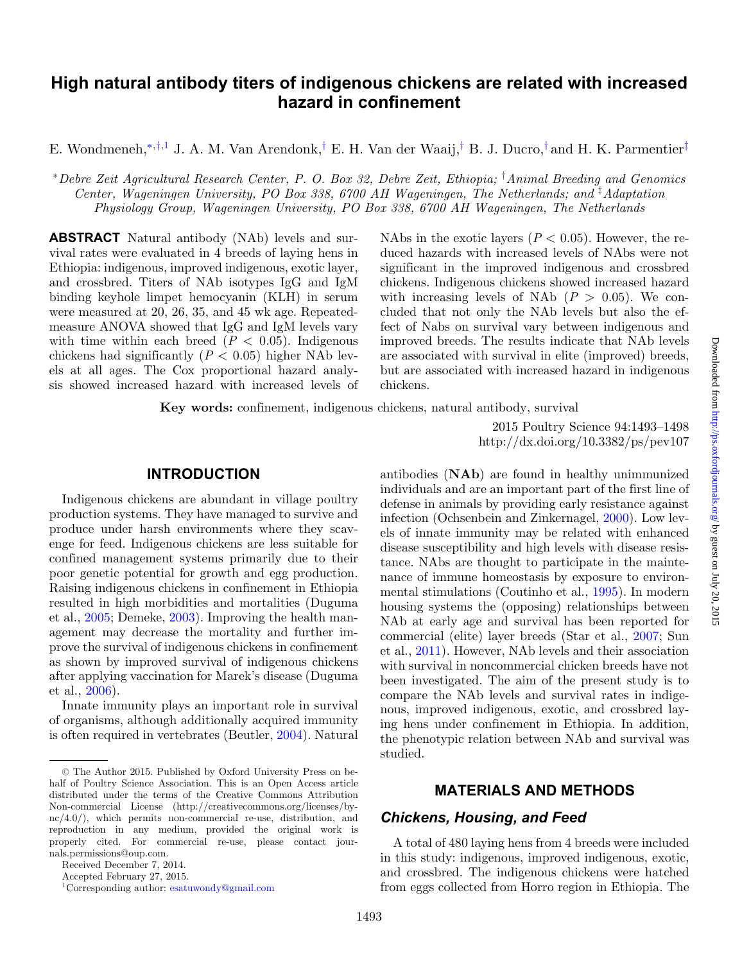# **High natural antibody titers of indigenous chickens are related with increased hazard in confinement**

E. Wondmeneh,[∗](#page-0-0),[†](#page-0-1)[,1](#page-0-2) J. A. M. Van Arendonk,[†](#page-0-1) E. H. Van der Waaij,[†](#page-0-1) B. J. Ducro,[†](#page-0-1) and H. K. Parmentier[‡](#page-0-3)

<span id="page-0-0"></span><sup>∗</sup>*Debre Zeit Agricultural Research Center, P. O. Box 32, Debre Zeit, Ethiopia;* † *Animal Breeding and Genomics Center, Wageningen University, PO Box 338, 6700 AH Wageningen, The Netherlands; and* ‡ *Adaptation Physiology Group, Wageningen University, PO Box 338, 6700 AH Wageningen, The Netherlands*

**ABSTRACT** Natural antibody (NAb) levels and survival rates were evaluated in 4 breeds of laying hens in Ethiopia: indigenous, improved indigenous, exotic layer, and crossbred. Titers of NAb isotypes IgG and IgM binding keyhole limpet hemocyanin (KLH) in serum were measured at 20, 26, 35, and 45 wk age. Repeatedmeasure ANOVA showed that IgG and IgM levels vary with time within each breed  $(P < 0.05)$ . Indigenous chickens had significantly  $(P < 0.05)$  higher NAb levels at all ages. The Cox proportional hazard analysis showed increased hazard with increased levels of <span id="page-0-3"></span><span id="page-0-1"></span>NAbs in the exotic layers  $(P < 0.05)$ . However, the reduced hazards with increased levels of NAbs were not significant in the improved indigenous and crossbred chickens. Indigenous chickens showed increased hazard with increasing levels of NAb  $(P > 0.05)$ . We concluded that not only the NAb levels but also the effect of Nabs on survival vary between indigenous and improved breeds. The results indicate that NAb levels are associated with survival in elite (improved) breeds, but are associated with increased hazard in indigenous chickens.

**Key words:** confinement, indigenous chickens, natural antibody, survival

2015 Poultry Science 94:1493–1498 http://dx.doi.org/10.3382/ps/pev107

#### **INTRODUCTION**

Indigenous chickens are abundant in village poultry production systems. They have managed to survive and produce under harsh environments where they scavenge for feed. Indigenous chickens are less suitable for confined management systems primarily due to their poor genetic potential for growth and egg production. Raising indigenous chickens in confinement in Ethiopia resulted in high morbidities and mortalities (Duguma et al., [2005;](#page-4-0) Demeke, [2003\)](#page-4-1). Improving the health management may decrease the mortality and further improve the survival of indigenous chickens in confinement as shown by improved survival of indigenous chickens after applying vaccination for Marek's disease (Duguma et al., [2006\)](#page-4-2).

Innate immunity plays an important role in survival of organisms, although additionally acquired immunity is often required in vertebrates (Beutler, [2004\)](#page-4-3). Natural

antibodies (**NAb**) are found in healthy unimmunized individuals and are an important part of the first line of defense in animals by providing early resistance against infection (Ochsenbein and Zinkernagel, [2000\)](#page-5-0). Low levels of innate immunity may be related with enhanced disease susceptibility and high levels with disease resistance. NAbs are thought to participate in the maintenance of immune homeostasis by exposure to environmental stimulations (Coutinho et al., [1995\)](#page-4-4). In modern housing systems the (opposing) relationships between NAb at early age and survival has been reported for commercial (elite) layer breeds (Star et al., [2007;](#page-5-1) Sun et al., [2011\)](#page-5-2). However, NAb levels and their association with survival in noncommercial chicken breeds have not been investigated. The aim of the present study is to compare the NAb levels and survival rates in indigenous, improved indigenous, exotic, and crossbred laying hens under confinement in Ethiopia. In addition, the phenotypic relation between NAb and survival was studied.

# **MATERIALS AND METHODS**

#### *Chickens, Housing, and Feed*

A total of 480 laying hens from 4 breeds were included in this study: indigenous, improved indigenous, exotic, and crossbred. The indigenous chickens were hatched from eggs collected from Horro region in Ethiopia. The

<sup>-</sup><sup>C</sup> The Author 2015. Published by Oxford University Press on behalf of Poultry Science Association. This is an Open Access article distributed under the terms of the Creative Commons Attribution Non-commercial License (http://creativecommons.org/licenses/by $nc/4.0/$ , which permits non-commercial re-use, distribution, and reproduction in any medium, provided the original work is properly cited. For commercial re-use, please contact journals.permissions@oup.com.

Received December 7, 2014.

<span id="page-0-2"></span>Accepted February 27, 2015.

<sup>1</sup>Corresponding author: [esatuwondy@gmail.com](mailto:esatuwondy@gmail.com)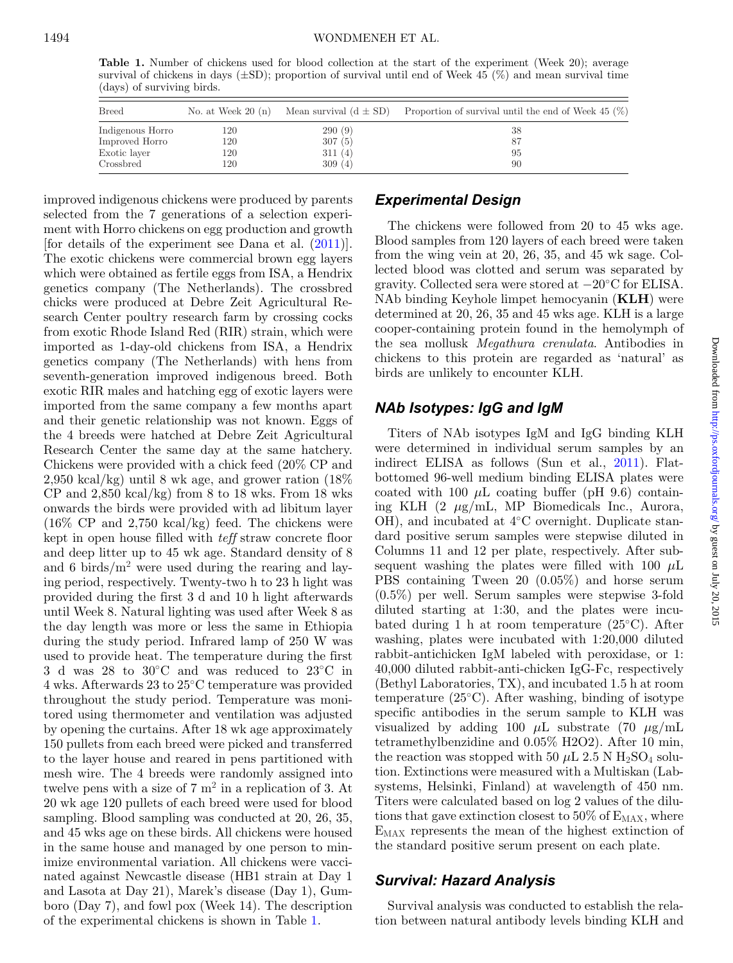<span id="page-1-0"></span>**Table 1.** Number of chickens used for blood collection at the start of the experiment (Week 20); average survival of chickens in days  $(\pm SD)$ ; proportion of survival until end of Week 45 (%) and mean survival time (days) of surviving birds.

| <b>Breed</b>     | No. at Week $20(n)$ | Mean survival $(d \pm SD)$ | Proportion of survival until the end of Week $45\ (\%)$ |
|------------------|---------------------|----------------------------|---------------------------------------------------------|
| Indigenous Horro | 120                 | 290(9)                     | 38                                                      |
| Improved Horro   | 120                 | 307(5)                     | -87                                                     |
| Exotic layer     | 120                 | 311(4)                     | 95                                                      |
| Crossbred        | 120                 | 309(4)                     | 90                                                      |

improved indigenous chickens were produced by parents selected from the 7 generations of a selection experiment with Horro chickens on egg production and growth [for details of the experiment see Dana et al. [\(2011\)](#page-4-5)]. The exotic chickens were commercial brown egg layers which were obtained as fertile eggs from ISA, a Hendrix genetics company (The Netherlands). The crossbred chicks were produced at Debre Zeit Agricultural Research Center poultry research farm by crossing cocks from exotic Rhode Island Red (RIR) strain, which were imported as 1-day-old chickens from ISA, a Hendrix genetics company (The Netherlands) with hens from seventh-generation improved indigenous breed. Both exotic RIR males and hatching egg of exotic layers were imported from the same company a few months apart and their genetic relationship was not known. Eggs of the 4 breeds were hatched at Debre Zeit Agricultural Research Center the same day at the same hatchery. Chickens were provided with a chick feed (20% CP and 2,950 kcal/kg) until 8 wk age, and grower ration (18%  $CP$  and  $2,850$  kcal/kg) from 8 to 18 wks. From 18 wks onwards the birds were provided with ad libitum layer (16% CP and 2,750 kcal/kg) feed. The chickens were kept in open house filled with *teff* straw concrete floor and deep litter up to 45 wk age. Standard density of 8 and 6 birds/ $m<sup>2</sup>$  were used during the rearing and laying period, respectively. Twenty-two h to 23 h light was provided during the first 3 d and 10 h light afterwards until Week 8. Natural lighting was used after Week 8 as the day length was more or less the same in Ethiopia during the study period. Infrared lamp of 250 W was used to provide heat. The temperature during the first 3 d was 28 to 30◦C and was reduced to 23◦C in 4 wks. Afterwards 23 to 25◦C temperature was provided throughout the study period. Temperature was monitored using thermometer and ventilation was adjusted by opening the curtains. After 18 wk age approximately 150 pullets from each breed were picked and transferred to the layer house and reared in pens partitioned with mesh wire. The 4 breeds were randomly assigned into twelve pens with a size of  $7 \text{ m}^2$  in a replication of 3. At 20 wk age 120 pullets of each breed were used for blood sampling. Blood sampling was conducted at 20, 26, 35, and 45 wks age on these birds. All chickens were housed in the same house and managed by one person to minimize environmental variation. All chickens were vaccinated against Newcastle disease (HB1 strain at Day 1 and Lasota at Day 21), Marek's disease (Day 1), Gumboro (Day 7), and fowl pox (Week 14). The description of the experimental chickens is shown in Table [1.](#page-1-0)

#### *Experimental Design*

The chickens were followed from 20 to 45 wks age. Blood samples from 120 layers of each breed were taken from the wing vein at 20, 26, 35, and 45 wk sage. Collected blood was clotted and serum was separated by gravity. Collected sera were stored at −20◦C for ELISA. NAb binding Keyhole limpet hemocyanin (**KLH**) were determined at 20, 26, 35 and 45 wks age. KLH is a large cooper-containing protein found in the hemolymph of the sea mollusk *Megathura crenulata*. Antibodies in chickens to this protein are regarded as 'natural' as birds are unlikely to encounter KLH.

## *NAb Isotypes: IgG and IgM*

Titers of NAb isotypes IgM and IgG binding KLH were determined in individual serum samples by an indirect ELISA as follows (Sun et al., [2011\)](#page-5-2). Flatbottomed 96-well medium binding ELISA plates were coated with 100  $\mu$ L coating buffer (pH 9.6) containing KLH (2 μg/mL, MP Biomedicals Inc., Aurora, OH), and incubated at 4◦C overnight. Duplicate standard positive serum samples were stepwise diluted in Columns 11 and 12 per plate, respectively. After subsequent washing the plates were filled with 100  $\mu$ L PBS containing Tween 20 (0.05%) and horse serum (0.5%) per well. Serum samples were stepwise 3-fold diluted starting at 1:30, and the plates were incubated during 1 h at room temperature (25◦C). After washing, plates were incubated with 1:20,000 diluted rabbit-antichicken IgM labeled with peroxidase, or 1: 40,000 diluted rabbit-anti-chicken IgG-Fc, respectively (Bethyl Laboratories, TX), and incubated 1.5 h at room temperature (25◦C). After washing, binding of isotype specific antibodies in the serum sample to KLH was visualized by adding 100  $\mu$ L substrate (70  $\mu$ g/mL tetramethylbenzidine and 0.05% H2O2). After 10 min, the reaction was stopped with 50  $\mu$ L 2.5 N H<sub>2</sub>SO<sub>4</sub> solution. Extinctions were measured with a Multiskan (Labsystems, Helsinki, Finland) at wavelength of 450 nm. Titers were calculated based on log 2 values of the dilutions that gave extinction closest to 50% of  $E_{MAX}$ , where EMAX represents the mean of the highest extinction of the standard positive serum present on each plate.

#### *Survival: Hazard Analysis*

Survival analysis was conducted to establish the relation between natural antibody levels binding KLH and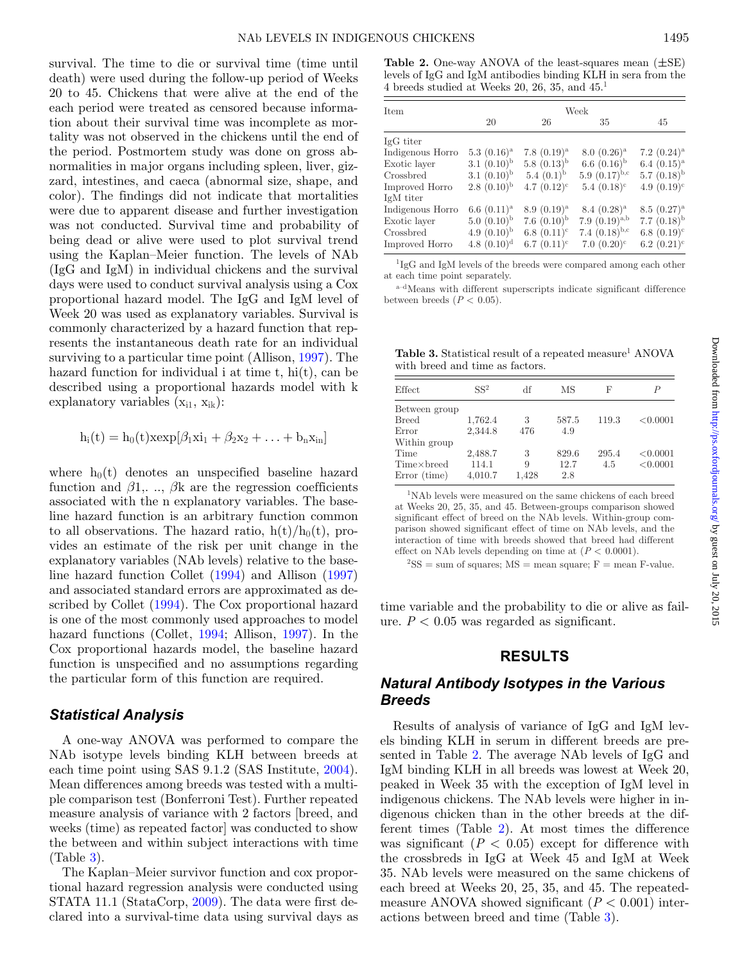survival. The time to die or survival time (time until death) were used during the follow-up period of Weeks 20 to 45. Chickens that were alive at the end of the each period were treated as censored because information about their survival time was incomplete as mortality was not observed in the chickens until the end of the period. Postmortem study was done on gross abnormalities in major organs including spleen, liver, gizzard, intestines, and caeca (abnormal size, shape, and color). The findings did not indicate that mortalities were due to apparent disease and further investigation was not conducted. Survival time and probability of being dead or alive were used to plot survival trend using the Kaplan–Meier function. The levels of NAb (IgG and IgM) in individual chickens and the survival days were used to conduct survival analysis using a Cox proportional hazard model. The IgG and IgM level of Week 20 was used as explanatory variables. Survival is commonly characterized by a hazard function that represents the instantaneous death rate for an individual surviving to a particular time point (Allison, [1997\)](#page-4-6). The hazard function for individual i at time t, hi(t), can be described using a proportional hazards model with k explanatory variables  $(x_{i1}, x_{ik})$ :

$$
h_i(t) = h_0(t) x \exp[\beta_1 x i_1 + \beta_2 x_2 + \ldots + b_n x_{in}]
$$

where  $h_0(t)$  denotes an unspecified baseline hazard function and  $\beta$ 1,...,  $\beta$ k are the regression coefficients associated with the n explanatory variables. The baseline hazard function is an arbitrary function common to all observations. The hazard ratio,  $h(t)/h_0(t)$ , provides an estimate of the risk per unit change in the explanatory variables (NAb levels) relative to the baseline hazard function Collet [\(1994\)](#page-4-7) and Allison [\(1997\)](#page-4-6) and associated standard errors are approximated as described by Collet [\(1994\)](#page-4-7). The Cox proportional hazard is one of the most commonly used approaches to model hazard functions (Collet, [1994;](#page-4-7) Allison, [1997\)](#page-4-6). In the Cox proportional hazards model, the baseline hazard function is unspecified and no assumptions regarding the particular form of this function are required.

#### *Statistical Analysis*

A one-way ANOVA was performed to compare the NAb isotype levels binding KLH between breeds at each time point using SAS 9.1.2 (SAS Institute, [2004\)](#page-5-3). Mean differences among breeds was tested with a multiple comparison test (Bonferroni Test). Further repeated measure analysis of variance with 2 factors [breed, and weeks (time) as repeated factor] was conducted to show the between and within subject interactions with time (Table [3\)](#page-2-0).

The Kaplan–Meier survivor function and cox proportional hazard regression analysis were conducted using STATA 11.1 (StataCorp, [2009\)](#page-5-4). The data were first declared into a survival-time data using survival days as

<span id="page-2-1"></span>**Table 2.** One-way ANOVA of the least-squares mean (*±*SE) levels of IgG and IgM antibodies binding KLH in sera from the 4 breeds studied at Weeks 20, 26, 35, and 45.1

| Item             | Week             |                  |                    |                  |  |  |
|------------------|------------------|------------------|--------------------|------------------|--|--|
|                  | 20               | 26               | 35                 | 45               |  |  |
| IgG titer        |                  |                  |                    |                  |  |  |
| Indigenous Horro | $5.3(0.16)^a$    | $7.8(0.19)^{a}$  | $8.0~(0.26)^a$     | 7.2 $(0.24)^a$   |  |  |
| Exotic layer     | 3.1 $(0.10)^{b}$ | 5.8 $(0.13)^{b}$ | 6.6 $(0.16)^{b}$   | 6.4 $(0.15)^a$   |  |  |
| Crossbred        | $3.1(0.10)^{b}$  | 5.4 $(0.1)^{b}$  | 5.9 $(0.17)^{b,c}$ | 5.7 $(0.18)^{b}$ |  |  |
| Improved Horro   | $2.8(0.10)^{b}$  | $4.7(0.12)^c$    | $5.4~(0.18)^c$     | $4.9(0.19)^c$    |  |  |
| IgM titer        |                  |                  |                    |                  |  |  |
| Indigenous Horro | 6.6 $(0.11)^a$   | $8.9(0.19)^a$    | $8.4~(0.28)^a$     | $8.5~(0.27)^{a}$ |  |  |
| Exotic layer     | $5.0~(0.10)^{b}$ | 7.6 $(0.10)^{b}$ | 7.9 $(0.19)^{a,b}$ | 7.7 $(0.18)^{b}$ |  |  |
| Crossbred        | $4.9(0.10)^{b}$  | 6.8 $(0.11)^c$   | 7.4 $(0.18)^{b,c}$ | $6.8(0.19)^c$    |  |  |
| Improved Horro   | 4.8 $(0.10)^d$   | 6.7 $(0.11)^c$   | $7.0~(0.20)^c$     | 6.2 $(0.21)^c$   |  |  |

1IgG and IgM levels of the breeds were compared among each other at each time point separately.

a–dMeans with different superscripts indicate significant difference between breeds  $(P < 0.05)$ .

<span id="page-2-0"></span>**Table 3.** Statistical result of a repeated measure<sup>1</sup> ANOVA with breed and time as factors.

| Effect        | SS <sup>2</sup> | df    | МS    | F     | P        |
|---------------|-----------------|-------|-------|-------|----------|
| Between group |                 |       |       |       |          |
| <b>Breed</b>  | 1,762.4         | 3     | 587.5 | 119.3 | < 0.0001 |
| Error         | 2,344.8         | 476   | 4.9   |       |          |
| Within group  |                 |       |       |       |          |
| Time          | 2,488.7         | 3     | 829.6 | 295.4 | < 0.0001 |
| Time×breed    | 114.1           | 9     | 12.7  | 4.5   | < 0.0001 |
| Error (time)  | 4,010.7         | 1.428 | 2.8   |       |          |

1NAb levels were measured on the same chickens of each breed at Weeks 20, 25, 35, and 45. Between-groups comparison showed significant effect of breed on the NAb levels. Within-group comparison showed significant effect of time on NAb levels, and the interaction of time with breeds showed that breed had different effect on NAb levels depending on time at  $(P < 0.0001)$ .

 ${}^{2}$ SS = sum of squares; MS = mean square; F = mean F-value.

time variable and the probability to die or alive as failure.  $P < 0.05$  was regarded as significant.

## **RESULTS**

# *Natural Antibody Isotypes in the Various Breeds*

Results of analysis of variance of IgG and IgM levels binding KLH in serum in different breeds are presented in Table [2.](#page-2-1) The average NAb levels of IgG and IgM binding KLH in all breeds was lowest at Week 20, peaked in Week 35 with the exception of IgM level in indigenous chickens. The NAb levels were higher in indigenous chicken than in the other breeds at the different times (Table [2\)](#page-2-1). At most times the difference was significant  $(P < 0.05)$  except for difference with the crossbreds in IgG at Week 45 and IgM at Week 35. NAb levels were measured on the same chickens of each breed at Weeks 20, 25, 35, and 45[.](#page-3-0) The repeatedmeasure ANOVA showed significant  $(P < 0.001)$  interactions between breed and time (Table [3\)](#page-2-0).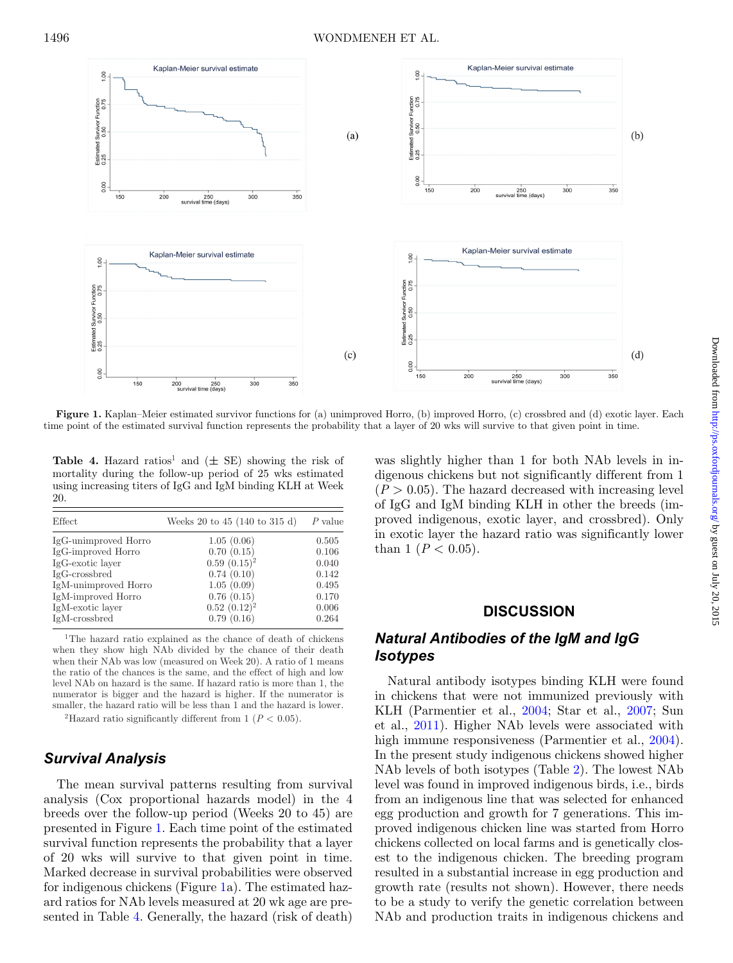<span id="page-3-0"></span>

**Figure 1.** Kaplan–Meier estimated survivor functions for (a) unimproved Horro, (b) improved Horro, (c) crossbred and (d) exotic layer. Each time point of the estimated survival function represents the probability that a layer of 20 wks will survive to that given point in time.

<span id="page-3-1"></span>**Table 4.** Hazard ratios<sup>1</sup> and  $(\pm$  SE) showing the risk of mortality during the follow-up period of 25 wks estimated using increasing titers of IgG and IgM binding KLH at Week 20.

| Effect               | Weeks 20 to 45 (140 to 315 d) | $P$ value |
|----------------------|-------------------------------|-----------|
| IgG-unimproved Horro | 1.05(0.06)                    | 0.505     |
| IgG-improved Horro   | 0.70(0.15)                    | 0.106     |
| IgG-exotic layer     | $0.59(0.15)^2$                | 0.040     |
| $IgG-crossbred$      | 0.74(0.10)                    | 0.142     |
| IgM-unimproved Horro | 1.05(0.09)                    | 0.495     |
| IgM-improved Horro   | 0.76(0.15)                    | 0.170     |
| IgM-exotic layer     | $0.52(0.12)^2$                | 0.006     |
| IgM-crossbred        | 0.79(0.16)                    | 0.264     |

<sup>1</sup>The hazard ratio explained as the chance of death of chickens when they show high NAb divided by the chance of their death when their NAb was low (measured on Week 20). A ratio of 1 means the ratio of the chances is the same, and the effect of high and low level NAb on hazard is the same. If hazard ratio is more than 1, the numerator is bigger and the hazard is higher. If the numerator is smaller, the hazard ratio will be less than 1 and the hazard is lower.

<sup>2</sup>Hazard ratio significantly different from 1 ( $P < 0.05$ ).

## *Survival Analysis*

The mean survival patterns resulting from survival analysis (Cox proportional hazards model) in the 4 breeds over the follow-up period (Weeks 20 to 45) are presented in Figure [1.](#page-3-0) Each time point of the estimated survival function represents the probability that a layer of 20 wks will survive to that given point in time. Marked decrease in survival probabilities were observed for indigenous chickens (Figure [1a](#page-3-0)). The estimated hazard ratios for NAb levels measured at 20 wk age are presented in Table [4.](#page-3-1) Generally, the hazard (risk of death)

was slightly higher than 1 for both NAb levels in indigenous chickens but not significantly different from 1  $(P > 0.05)$ . The hazard decreased with increasing level of IgG and IgM binding KLH in other the breeds (improved indigenous, exotic layer, and crossbred). Only in exotic layer the hazard ratio was significantly lower than 1 ( $P < 0.05$ ).

## **DISCUSSION**

# *Natural Antibodies of the IgM and IgG Isotypes*

Natural antibody isotypes binding KLH were found in chickens that were not immunized previously with KLH (Parmentier et al., [2004;](#page-5-5) Star et al., [2007;](#page-5-1) Sun et al., [2011\)](#page-5-2). Higher NAb levels were associated with high immune responsiveness (Parmentier et al., [2004\)](#page-5-5). In the present study indigenous chickens showed higher NAb levels of both isotypes (Table [2\)](#page-2-1). The lowest NAb level was found in improved indigenous birds, i.e., birds from an indigenous line that was selected for enhanced egg production and growth for 7 generations. This improved indigenous chicken line was started from Horro chickens collected on local farms and is genetically closest to the indigenous chicken. The breeding program resulted in a substantial increase in egg production and growth rate (results not shown). However, there needs to be a study to verify the genetic correlation between NAb and production traits in indigenous chickens and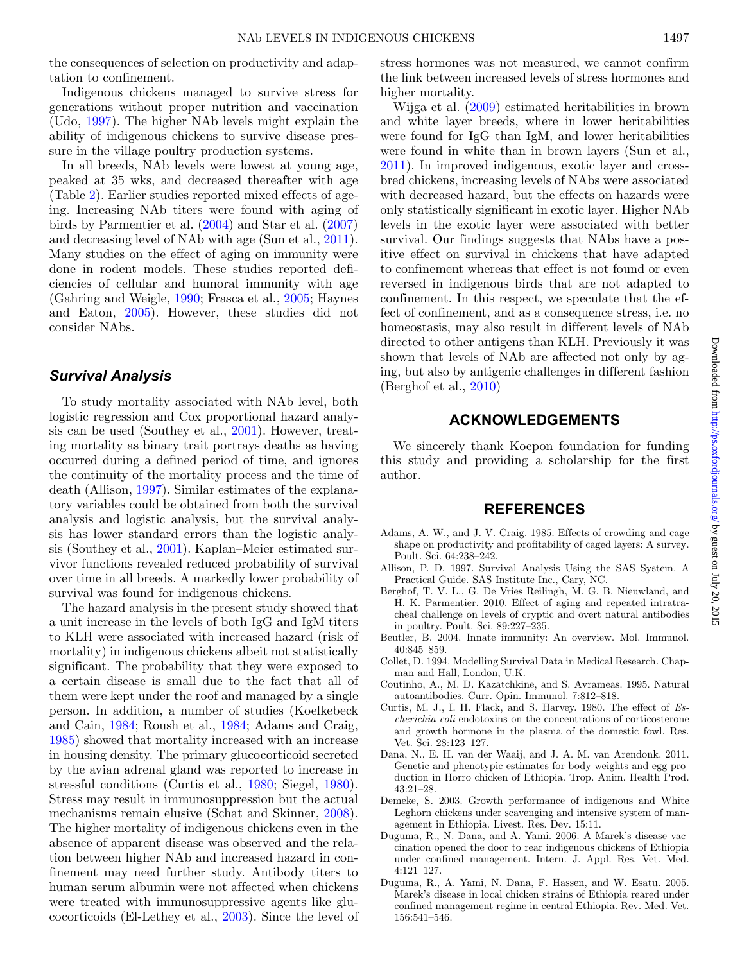the consequences of selection on productivity and adaptation to confinement.

Indigenous chickens managed to survive stress for generations without proper nutrition and vaccination (Udo, [1997\)](#page-5-6). The higher NAb levels might explain the ability of indigenous chickens to survive disease pressure in the village poultry production systems.

In all breeds, NAb levels were lowest at young age, peaked at 35 wks, and decreased thereafter with age (Table [2\)](#page-2-1). Earlier studies reported mixed effects of ageing. Increasing NAb titers were found with aging of birds by Parmentier et al. [\(2004\)](#page-5-5) and Star et al. [\(2007\)](#page-5-1) and decreasing level of NAb with age (Sun et al., [2011\)](#page-5-2). Many studies on the effect of aging on immunity were done in rodent models. These studies reported deficiencies of cellular and humoral immunity with age (Gahring and Weigle, [1990;](#page-5-7) Frasca et al., [2005;](#page-5-8) Haynes and Eaton, [2005\)](#page-5-9). However, these studies did not consider NAbs.

## *Survival Analysis*

To study mortality associated with NAb level, both logistic regression and Cox proportional hazard analysis can be used (Southey et al., [2001\)](#page-5-10). However, treating mortality as binary trait portrays deaths as having occurred during a defined period of time, and ignores the continuity of the mortality process and the time of death (Allison, [1997\)](#page-4-6). Similar estimates of the explanatory variables could be obtained from both the survival analysis and logistic analysis, but the survival analysis has lower standard errors than the logistic analysis (Southey et al., [2001\)](#page-5-10). Kaplan–Meier estimated survivor functions revealed reduced probability of survival over time in all breeds. A markedly lower probability of survival was found for indigenous chickens.

The hazard analysis in the present study showed that a unit increase in the levels of both IgG and IgM titers to KLH were associated with increased hazard (risk of mortality) in indigenous chickens albeit not statistically significant. The probability that they were exposed to a certain disease is small due to the fact that all of them were kept under the roof and managed by a single person. In addition, a number of studies (Koelkebeck and Cain, [1984;](#page-5-11) Roush et al., [1984;](#page-5-12) Adams and Craig, [1985\)](#page-4-8) showed that mortality increased with an increase in housing density. The primary glucocorticoid secreted by the avian adrenal gland was reported to increase in stressful conditions (Curtis et al., [1980;](#page-4-9) Siegel, [1980\)](#page-5-13). Stress may result in immunosuppression but the actual mechanisms remain elusive (Schat and Skinner, [2008\)](#page-5-14). The higher mortality of indigenous chickens even in the absence of apparent disease was observed and the relation between higher NAb and increased hazard in confinement may need further study. Antibody titers to human serum albumin were not affected when chickens were treated with immunosuppressive agents like glucocorticoids (El-Lethey et al., [2003\)](#page-5-15). Since the level of stress hormones was not measured, we cannot confirm the link between increased levels of stress hormones and higher mortality.

Wijga et al. [\(2009\)](#page-5-16) estimated heritabilities in brown and white layer breeds, where in lower heritabilities were found for IgG than IgM, and lower heritabilities were found in white than in brown layers (Sun et al., [2011\)](#page-5-2). In improved indigenous, exotic layer and crossbred chickens, increasing levels of NAbs were associated with decreased hazard, but the effects on hazards were only statistically significant in exotic layer. Higher NAb levels in the exotic layer were associated with better survival. Our findings suggests that NAbs have a positive effect on survival in chickens that have adapted to confinement whereas that effect is not found or even reversed in indigenous birds that are not adapted to confinement. In this respect, we speculate that the effect of confinement, and as a consequence stress, i.e. no homeostasis, may also result in different levels of NAb directed to other antigens than KLH. Previously it was shown that levels of NAb are affected not only by aging, but also by antigenic challenges in different fashion (Berghof et al., [2010\)](#page-4-10)

## **ACKNOWLEDGEMENTS**

We sincerely thank Koepon foundation for funding this study and providing a scholarship for the first author.

#### **REFERENCES**

- <span id="page-4-8"></span>Adams, A. W., and J. V. Craig. 1985. Effects of crowding and cage shape on productivity and profitability of caged layers: A survey. Poult. Sci. 64:238–242.
- <span id="page-4-6"></span>Allison, P. D. 1997. Survival Analysis Using the SAS System. A Practical Guide. SAS Institute Inc., Cary, NC.
- <span id="page-4-10"></span>Berghof, T. V. L., G. De Vries Reilingh, M. G. B. Nieuwland, and H. K. Parmentier. 2010. Effect of aging and repeated intratracheal challenge on levels of cryptic and overt natural antibodies in poultry. Poult. Sci. 89:227–235.
- <span id="page-4-3"></span>Beutler, B. 2004. Innate immunity: An overview. Mol. Immunol. 40:845–859.
- <span id="page-4-7"></span>Collet, D. 1994. Modelling Survival Data in Medical Research. Chapman and Hall, London, U.K.
- <span id="page-4-4"></span>Coutinho, A., M. D. Kazatchkine, and S. Avrameas. 1995. Natural autoantibodies. Curr. Opin. Immunol. 7:812–818.
- <span id="page-4-9"></span>Curtis, M. J., I. H. Flack, and S. Harvey. 1980. The effect of *Escherichia coli* endotoxins on the concentrations of corticosterone and growth hormone in the plasma of the domestic fowl. Res. Vet. Sci. 28:123–127.
- <span id="page-4-5"></span>Dana, N., E. H. van der Waaij, and J. A. M. van Arendonk. 2011. Genetic and phenotypic estimates for body weights and egg production in Horro chicken of Ethiopia. Trop. Anim. Health Prod. 43:21–28.
- <span id="page-4-1"></span>Demeke, S. 2003. Growth performance of indigenous and White Leghorn chickens under scavenging and intensive system of management in Ethiopia. Livest. Res. Dev. 15:11.
- <span id="page-4-2"></span>Duguma, R., N. Dana, and A. Yami. 2006. A Marek's disease vaccination opened the door to rear indigenous chickens of Ethiopia under confined management. Intern. J. Appl. Res. Vet. Med. 4:121–127.
- <span id="page-4-0"></span>Duguma, R., A. Yami, N. Dana, F. Hassen, and W. Esatu. 2005. Marek's disease in local chicken strains of Ethiopia reared under confined management regime in central Ethiopia. Rev. Med. Vet. 156:541–546.